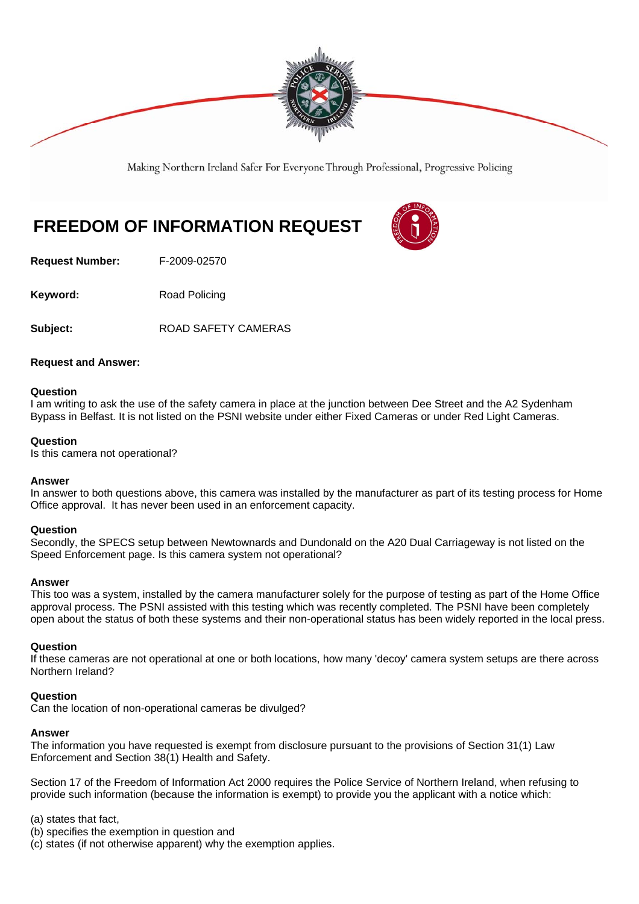

Making Northern Ireland Safer For Everyone Through Professional, Progressive Policing

# **FREEDOM OF INFORMATION REQUEST**

**Request Number:** F-2009-02570

**Keyword:** Road Policing

**Subject:** ROAD SAFETY CAMERAS

## **Request and Answer:**

## **Question**

I am writing to ask the use of the safety camera in place at the junction between Dee Street and the A2 Sydenham Bypass in Belfast. It is not listed on the PSNI website under either Fixed Cameras or under Red Light Cameras.

## **Question**

Is this camera not operational?

## **Answer**

In answer to both questions above, this camera was installed by the manufacturer as part of its testing process for Home Office approval. It has never been used in an enforcement capacity.

## **Question**

Secondly, the SPECS setup between Newtownards and Dundonald on the A20 Dual Carriageway is not listed on the Speed Enforcement page. Is this camera system not operational?

## **Answer**

This too was a system, installed by the camera manufacturer solely for the purpose of testing as part of the Home Office approval process. The PSNI assisted with this testing which was recently completed. The PSNI have been completely open about the status of both these systems and their non-operational status has been widely reported in the local press.

## **Question**

If these cameras are not operational at one or both locations, how many 'decoy' camera system setups are there across Northern Ireland?

## **Question**

Can the location of non-operational cameras be divulged?

## **Answer**

The information you have requested is exempt from disclosure pursuant to the provisions of Section 31(1) Law Enforcement and Section 38(1) Health and Safety.

Section 17 of the Freedom of Information Act 2000 requires the Police Service of Northern Ireland, when refusing to provide such information (because the information is exempt) to provide you the applicant with a notice which:

(a) states that fact,

(b) specifies the exemption in question and

(c) states (if not otherwise apparent) why the exemption applies.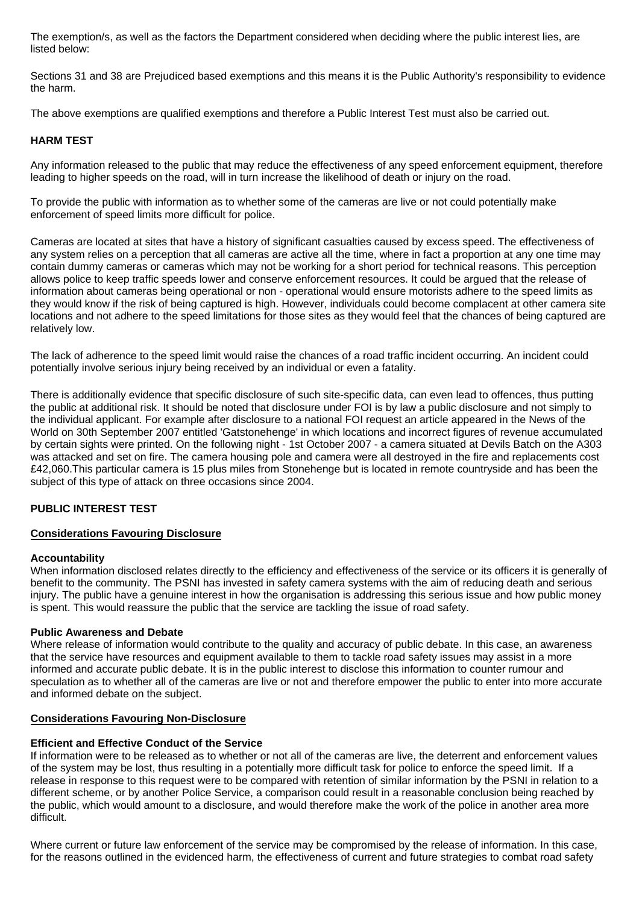The exemption/s, as well as the factors the Department considered when deciding where the public interest lies, are listed below:

Sections 31 and 38 are Prejudiced based exemptions and this means it is the Public Authority's responsibility to evidence the harm.

The above exemptions are qualified exemptions and therefore a Public Interest Test must also be carried out.

# **HARM TEST**

Any information released to the public that may reduce the effectiveness of any speed enforcement equipment, therefore leading to higher speeds on the road, will in turn increase the likelihood of death or injury on the road.

To provide the public with information as to whether some of the cameras are live or not could potentially make enforcement of speed limits more difficult for police.

Cameras are located at sites that have a history of significant casualties caused by excess speed. The effectiveness of any system relies on a perception that all cameras are active all the time, where in fact a proportion at any one time may contain dummy cameras or cameras which may not be working for a short period for technical reasons. This perception allows police to keep traffic speeds lower and conserve enforcement resources. It could be argued that the release of information about cameras being operational or non - operational would ensure motorists adhere to the speed limits as they would know if the risk of being captured is high. However, individuals could become complacent at other camera site locations and not adhere to the speed limitations for those sites as they would feel that the chances of being captured are relatively low.

The lack of adherence to the speed limit would raise the chances of a road traffic incident occurring. An incident could potentially involve serious injury being received by an individual or even a fatality.

There is additionally evidence that specific disclosure of such site-specific data, can even lead to offences, thus putting the public at additional risk. It should be noted that disclosure under FOI is by law a public disclosure and not simply to the individual applicant. For example after disclosure to a national FOI request an article appeared in the News of the World on 30th September 2007 entitled 'Gatstonehenge' in which locations and incorrect figures of revenue accumulated by certain sights were printed. On the following night - 1st October 2007 - a camera situated at Devils Batch on the A303 was attacked and set on fire. The camera housing pole and camera were all destroyed in the fire and replacements cost £42,060.This particular camera is 15 plus miles from Stonehenge but is located in remote countryside and has been the subject of this type of attack on three occasions since 2004.

# **PUBLIC INTEREST TEST**

# **Considerations Favouring Disclosure**

## **Accountability**

When information disclosed relates directly to the efficiency and effectiveness of the service or its officers it is generally of benefit to the community. The PSNI has invested in safety camera systems with the aim of reducing death and serious injury. The public have a genuine interest in how the organisation is addressing this serious issue and how public money is spent. This would reassure the public that the service are tackling the issue of road safety.

## **Public Awareness and Debate**

Where release of information would contribute to the quality and accuracy of public debate. In this case, an awareness that the service have resources and equipment available to them to tackle road safety issues may assist in a more informed and accurate public debate. It is in the public interest to disclose this information to counter rumour and speculation as to whether all of the cameras are live or not and therefore empower the public to enter into more accurate and informed debate on the subject.

## **Considerations Favouring Non-Disclosure**

## **Efficient and Effective Conduct of the Service**

If information were to be released as to whether or not all of the cameras are live, the deterrent and enforcement values of the system may be lost, thus resulting in a potentially more difficult task for police to enforce the speed limit. If a release in response to this request were to be compared with retention of similar information by the PSNI in relation to a different scheme, or by another Police Service, a comparison could result in a reasonable conclusion being reached by the public, which would amount to a disclosure, and would therefore make the work of the police in another area more difficult.

Where current or future law enforcement of the service may be compromised by the release of information. In this case, for the reasons outlined in the evidenced harm, the effectiveness of current and future strategies to combat road safety